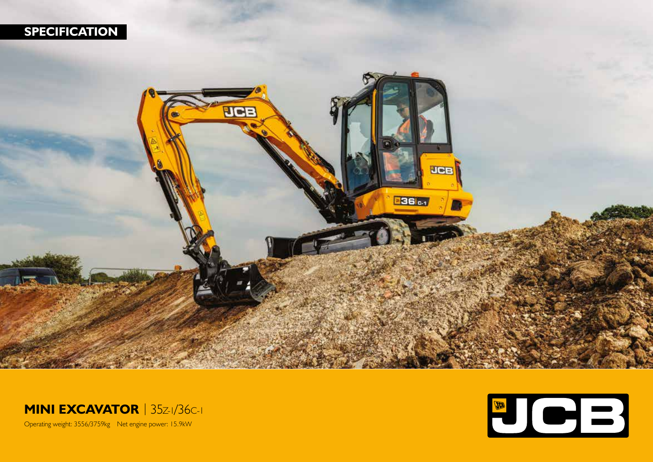





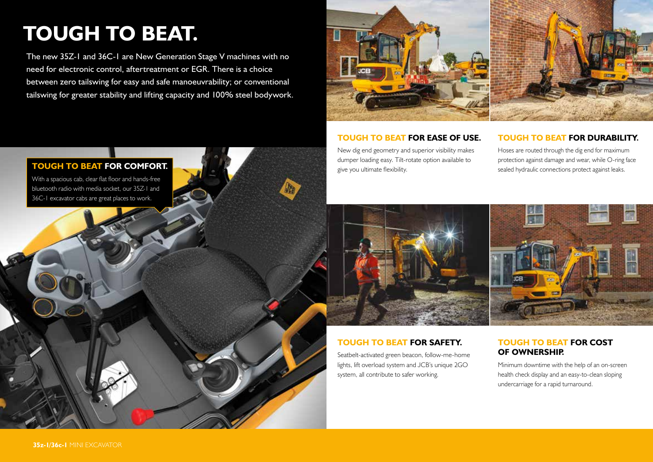# **TOUGH TO BEAT.**

The new 35Z-1 and 36C-1 are New Generation Stage V machines with no need for electronic control, aftertreatment or EGR. There is a choice between zero tailswing for easy and safe manoeuvrability; or conventional tailswing for greater stability and lifting capacity and 100% steel bodywork.



# **TOUGH TO BEAT FOR EASE OF USE.**

New dig end geometry and superior visibility makes dumper loading easy. Tilt-rotate option available to give you ultimate flexibility.

## **TOUGH TO BEAT FOR DURABILITY.**

Hoses are routed through the dig end for maximum protection against damage and wear, while O-ring face sealed hydraulic connections protect against leaks.



# **TOUGH TO BEAT FOR SAFETY.**

Seatbelt-activated green beacon, follow-me-home lights, lift overload system and JCB's unique 2GO system, all contribute to safer working.

# **TOUGH TO BEAT FOR COST OF OWNERSHIP.**

Minimum downtime with the help of an on-screen health check display and an easy-to-clean sloping undercarriage for a rapid turnaround.

# **TOUGH TO BEAT FOR COMFORT.**

With a spacious cab, clear flat floor and hands-free bluetooth radio with media socket, our 35Z-1 and 36C-1 excavator cabs are great places to work.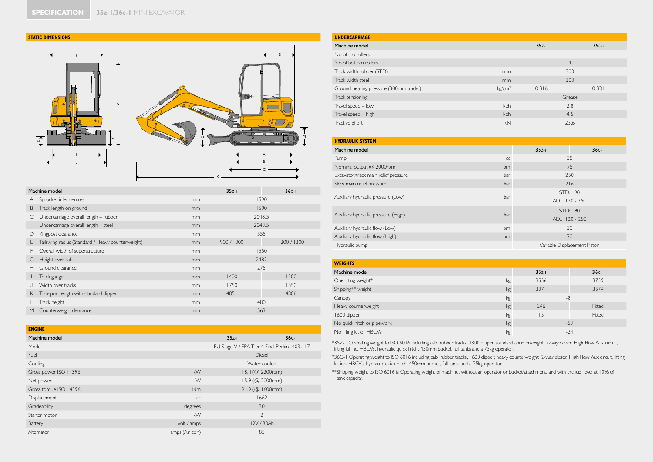



|   | Machine model                                     | $35z-1$ | $36C-1$    |           |
|---|---------------------------------------------------|---------|------------|-----------|
| A | Sprocket idler centres                            | mm      | 1590       |           |
| B | Track length on ground                            | mm      | 1590       |           |
| С | Undercarriage overall length - rubber             | mm      | 2048.5     |           |
|   | Undercarriage overall length - steel              | mm      | 2048.5     |           |
| D | Kingpost clearance                                | mm      | 555        |           |
| E | Tailswing radius (Standard / Heavy counterweight) | mm      | 900 / 1000 | 1200/1300 |
| F | Overall width of superstructure                   | mm      | 1550       |           |
| G | Height over cab                                   | mm      | 2482       |           |
| н | Ground clearance                                  | mm      | 275        |           |
|   | Track gauge                                       | mm      | 1400       | 1200      |
|   | Width over tracks                                 | mm      | 1750       | 1550      |
| K | Transport length with standard dipper             | mm      | 4851       | 4806      |
|   | Track height                                      | mm      | 480        |           |
| M | Counterweight clearance                           | mm      | 563        |           |

| <b>ENGINE</b>          |                                               |                    |            |  |  |
|------------------------|-----------------------------------------------|--------------------|------------|--|--|
| Machine model          |                                               | $35z-1$            | $36C-1$    |  |  |
| Model                  | EU Stage V / EPA Tier 4 Final Perkins 403J-17 |                    |            |  |  |
| Fuel                   | Diesel                                        |                    |            |  |  |
| Cooling                | Water cooled                                  |                    |            |  |  |
| Gross power ISO 14396  | 18.4 (@ 2200rpm)                              |                    |            |  |  |
| Net power              | kW                                            | 15.9 (@ 2000rpm)   |            |  |  |
| Gross torque ISO 14396 | Nm                                            | $91.9$ (@ 1600rpm) |            |  |  |
| Displacement           | CC                                            |                    | 1662       |  |  |
| Gradeability           | degrees                                       | 30                 |            |  |  |
| Starter motor          | kW                                            | $\overline{2}$     |            |  |  |
| Battery                | volt / amps                                   |                    | 12V / 80Ah |  |  |
| Alternator             | amps (Air con)                                | 85                 |            |  |  |

| <b>UNDERCARRIAGE</b>                   |                    |                |         |  |  |  |
|----------------------------------------|--------------------|----------------|---------|--|--|--|
| Machine model                          |                    | $35z-1$        | $36C-1$ |  |  |  |
| No of top rollers                      |                    |                |         |  |  |  |
| No of bottom rollers                   |                    | $\overline{4}$ |         |  |  |  |
| Track width rubber (STD)               | mm                 | 300            |         |  |  |  |
| Track width steel                      | mm                 | 300            |         |  |  |  |
| Ground bearing pressure (300mm tracks) | kg/cm <sup>2</sup> | 0.316          | 0.331   |  |  |  |
| Track tensioning                       |                    | Grease         |         |  |  |  |
| Travel speed - low                     | kph                | 2.8            |         |  |  |  |
| Travel speed - high                    | kph                | 4.5            |         |  |  |  |
| Tractive effort                        | kN                 | 25.6           |         |  |  |  |

| <b>HYDRAULIC SYSTEM</b>              |     |                              |         |  |  |  |
|--------------------------------------|-----|------------------------------|---------|--|--|--|
| Machine model                        |     | $35z-1$                      | $36C-1$ |  |  |  |
| Pump                                 | CC  | 38                           |         |  |  |  |
| Nominal output @ 2000rpm             | Ipm | 76                           |         |  |  |  |
| Excavator/track main relief pressure | bar | 250                          |         |  |  |  |
| Slew main relief pressure            | bar | 216                          |         |  |  |  |
| Auxiliary hydraulic pressure (Low)   | bar | STD: 190                     |         |  |  |  |
|                                      |     | ADJ: 120 - 250               |         |  |  |  |
| Auxiliary hydraulic pressure (High)  | bar | STD: 190                     |         |  |  |  |
|                                      |     | ADJ: 120 - 250               |         |  |  |  |
| Auxiliary hydraulic flow (Low)       | lpm | 30                           |         |  |  |  |
| Auxiliary hydraulic flow (High)      | lpm | 70                           |         |  |  |  |
| Hydraulic pump                       |     | Variable Displacement Piston |         |  |  |  |

| <b>WEIGHTS</b>             |    |         |         |
|----------------------------|----|---------|---------|
| Machine model              |    | $35z-1$ | $36C-1$ |
| Operating weight*          | kg | 3556    | 3759    |
| Shipping** weight          | kg | 3371    | 3574    |
| Canopy                     | kg | $-81$   |         |
| Heavy counterweight        | kg | 246     | Fitted  |
| 1600 dipper                | kg | 15      | Fitted  |
| No quick hitch or pipework | kg | $-53$   |         |
| No lifting kit or HBCVs    | kg |         | $-24$   |

\*35Z-1 Operating weight to ISO 6016 including cab, rubber tracks, 1300 dipper, standard counterweight, 2-way dozer, High Flow Aux circuit, lifting kit inc. HBCVs, hydraulic quick hitch, 450mm bucket, full tanks and a 75kg operator.

\*36C-1 Operating weight to ISO 6016 including cab, rubber tracks, 1600 dipper, heavy counterweight, 2-way dozer, High Flow Aux circuit, lifting<br>kit inc. HBCVs, hydraulic quick hitch, 450mm bucket, full tanks and a 75kg ope

\*\*Shipping weight to ISO 6016 is Operating weight of machine, without an operator or bucket/attachment, and with the fuel level at 10% of tank capacity.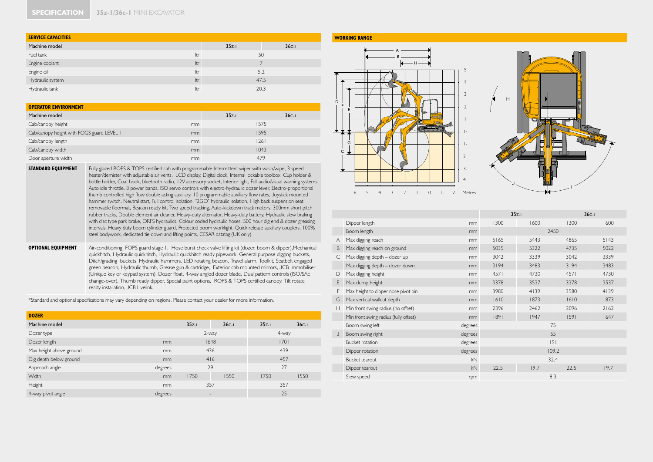#### **SPECIFICATION 35z-1/36c-1** MINI EXCAVATOR

| <b>SERVICE CAPACITIES</b> |     |         |         |  |  |  |  |  |  |  |  |  |
|---------------------------|-----|---------|---------|--|--|--|--|--|--|--|--|--|
| Machine model             |     | $35z-1$ | $36C-1$ |  |  |  |  |  |  |  |  |  |
| Fuel tank                 | ltr | 50      |         |  |  |  |  |  |  |  |  |  |
| Engine coolant            | ltr |         |         |  |  |  |  |  |  |  |  |  |
| Engine oil                | ltr | 5.2     |         |  |  |  |  |  |  |  |  |  |
| Hydraulic system          | ltr | 47.5    |         |  |  |  |  |  |  |  |  |  |
| Hydraulic tank            | ltr | 20.3    |         |  |  |  |  |  |  |  |  |  |

| <b>OPERATOR ENVIRONMENT</b>               |    |         |         |  |  |  |  |  |  |  |  |  |
|-------------------------------------------|----|---------|---------|--|--|--|--|--|--|--|--|--|
| Machine model                             |    | $35z-1$ | $36C-1$ |  |  |  |  |  |  |  |  |  |
| Cab/canopy height                         | mm |         | 1575    |  |  |  |  |  |  |  |  |  |
| Cab/canopy height with FOGS guard LEVEL I | mm |         | 1595    |  |  |  |  |  |  |  |  |  |
| Cab/canopy length                         | mm | 26      |         |  |  |  |  |  |  |  |  |  |
| Cab/canopy width                          | mm | 1043    |         |  |  |  |  |  |  |  |  |  |
| Door aperture width                       | mm | 479     |         |  |  |  |  |  |  |  |  |  |

**STANDARD EQUIPMENT** Fully glazed ROPS & TOPS certified cab with programmable Intermittent wiper with wash/wipe, 3 speed heater/demister with adjustable air vents, LCD display, Digital clock, Internal lockable toolbox, Cup holder & bottle holder, Coat hook, bluetooth radio, 12V accessory socket, Interior light, Full audio/visual warning systems, Auto idle throttle, 8 power bands, ISO servo controls with electro-hydraulic dozer lever, Electro-proportional thumb controlled high flow double acting auxiliary, 10 programmable auxiliary flow rates, Joystick mounted hammer switch, Neutral start, Full control isolation, "2GO" hydraulic isolation, High back suspension seat, removable floormat, Beacon ready kit, Two speed tracking, Auto-kickdown track motors, 300mm short pitch rubber tracks, Double element air cleaner, Heavy-duty alternator, Heavy-duty battery, Hydraulic slew braking with disc type park brake, ORFS hydraulics, Colour coded hydraulic hoses, 500 hour dig end & dozer greasing intervals, Heavy duty boom cylinder guard, Protected boom worklight, Quick release auxiliary couplers, 100% steel bodywork, dedicated tie down and lifting points, CESAR datatag (UK only).

**OPTIONAL EQUIPMENT** Air-conditioning, FOPS guard stage 1, Hose burst check valve lifting kit (dozer, boom & dipper),Mechanical quickhitch, Hydraulic quickhitch, Hydraulic quickhitch ready pipework, General purpose digging buckets, Ditch/grading buckets, Hydraulic hammers, LED rotating beacon, Travel alarm, Toolkit, Seatbelt engaged green beacon, Hydraulic thumb, Grease gun & cartridge, Exterior cab mounted mirrors, JCB Immobiliser (Unique key or keypad system), Dozer float, 4-way angled dozer blade, Dual pattern controls (ISO/SAE change-over), Thumb ready dipper, Special paint options, ROPS & TOPS certified canopy, Tilt rotate ready installation, JCB Livelink.

\*Standard and optional specifications may vary depending on regions. Please contact your dealer for more information.

| <b>DOZER</b>            |         |         |                          |         |         |  |  |
|-------------------------|---------|---------|--------------------------|---------|---------|--|--|
| Machine model           |         | $35z-1$ | $36C-1$                  | $35z-1$ | $36C-1$ |  |  |
| Dozer type              |         | 2-way   |                          | 4-way   |         |  |  |
| Dozer length            |         | 1648    | 1701                     |         |         |  |  |
| Max height above ground |         | 436     | 439                      |         |         |  |  |
| Dig depth below ground  | mm      |         | 416                      | 457     |         |  |  |
| Approach angle          | degrees |         | 29                       | 27      |         |  |  |
| <b>Width</b>            | mm      | 1750    | 1550                     | 1750    | 1550    |  |  |
| Height                  | mm      |         | 357                      | 357     |         |  |  |
| 4-way pivot angle       | degrees |         | $\overline{\phantom{a}}$ | 25      |         |  |  |

#### **WORKING RANGE**





|   |                                       |         | $35z-1$ |      | $36C-1$ |      |  |  |  |
|---|---------------------------------------|---------|---------|------|---------|------|--|--|--|
|   | Dipper length                         | mm      | 1300    | 1600 | 1300    | 1600 |  |  |  |
|   | Boom length                           | mm      | 2450    |      |         |      |  |  |  |
| A | Max digging reach                     | mm      | 5165    | 5443 | 4865    | 5143 |  |  |  |
| B | Max digging reach on ground           | mm      | 5035    | 5322 | 4735    | 5022 |  |  |  |
| C | Max digging depth - dozer up          | mm      | 3042    | 3339 | 3042    | 3339 |  |  |  |
|   | Max digging depth - dozer down        | mm      | 3194    | 3483 | 3194    | 3483 |  |  |  |
| D | Max digging height                    | mm      | 4571    | 4730 | 4571    | 4730 |  |  |  |
| E | Max dump height                       | mm      | 3378    | 3537 | 3378    | 3537 |  |  |  |
| F | Max height to dipper nose pivot pin   | mm      | 3980    | 4139 | 3980    | 4139 |  |  |  |
| G | Max vertical wallcut depth            | mm      | 1610    | 1873 | 1610    | 1873 |  |  |  |
| Н | Min front swing radius (no offset)    | mm      | 2396    | 2462 | 2096    | 2162 |  |  |  |
|   | Min front swing radius (fully offset) | mm      | 1891    | 1947 | 1591    | 1647 |  |  |  |
|   | Boom swing left                       | degrees |         | 75   |         |      |  |  |  |
| J | Boom swing right                      | degrees |         | 55   |         |      |  |  |  |
|   | <b>Bucket rotation</b>                | degrees |         | 9    |         |      |  |  |  |
|   | Dipper rotation                       | degrees |         |      | 109.2   |      |  |  |  |
|   | Bucket tearout                        | kN      |         | 32.4 |         |      |  |  |  |
|   | Dipper tearout                        | kN      | 22.5    | 19.7 | 22.5    | 19.7 |  |  |  |
|   | Slew speed                            | rpm     |         | 8.3  |         |      |  |  |  |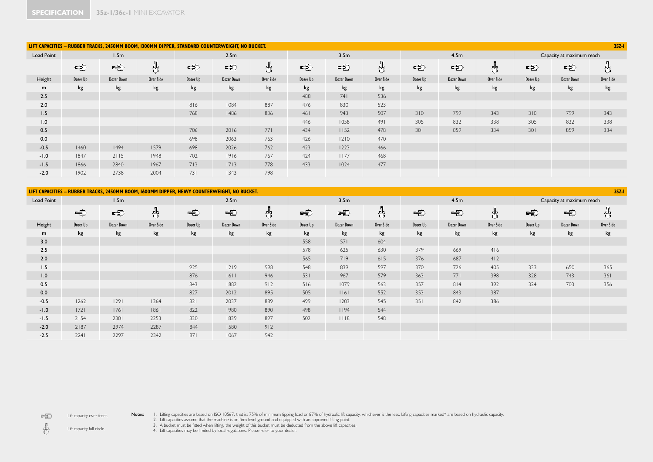|            |          | LIFT CAPACITIES - RUBBER TRACKS, 2450MM BOOM, 1300MM DIPPER, STANDARD COUNTERWEIGHT, NO BUCKET. |           |          |                   |           |          |                  |           |          |            |           |          |                           | $35Z-1$   |
|------------|----------|-------------------------------------------------------------------------------------------------|-----------|----------|-------------------|-----------|----------|------------------|-----------|----------|------------|-----------|----------|---------------------------|-----------|
| Load Point |          | 1.5 <sub>m</sub>                                                                                |           | 2.5m     |                   |           |          | 3.5 <sub>m</sub> |           |          | 4.5m       |           |          | Capacity at maximum reach |           |
|            | 中        | 中                                                                                               | 冉         | 电        | $\Rightarrow$     | 齿         | 中        | 中                | 哉         | 中        | 中          | 8         | 字        | 中                         | 吿         |
| Height     | Dozer Up | <b>Dozer Down</b>                                                                               | Over Side | Dozer Up | <b>Dozer Down</b> | Over Side | Dozer Up | Dozer Down       | Over Side | Dozer Up | Dozer Down | Over Side | Dozer Up | <b>Dozer Down</b>         | Over Side |
| m          | kg       | kg                                                                                              | kg        | kg       | kg                | kg        | kg       | kg               | kg        | kg       | kg         | kg        | kg       | kg                        | kg        |
| 2.5        |          |                                                                                                 |           |          |                   |           | 488      | 741              | 536       |          |            |           |          |                           |           |
| 2.0        |          |                                                                                                 |           | 816      | 1084              | 887       | 476      | 830              | 523       |          |            |           |          |                           |           |
| 1.5        |          |                                                                                                 |           | 768      | 1486              | 836       | 461      | 943              | 507       | 310      | 799        | 343       | 310      | 799                       | 343       |
| 1.0        |          |                                                                                                 |           |          |                   |           | 446      | 1058             | 491       | 305      | 832        | 338       | 305      | 832                       | 338       |
| 0.5        |          |                                                                                                 |           | 706      | 2016              | 771       | 434      | 1152             | 478       | 301      | 859        | 334       | 301      | 859                       | 334       |
| 0.0        |          |                                                                                                 |           | 698      | 2063              | 763       | 426      | $1210$           | 470       |          |            |           |          |                           |           |
| $-0.5$     | 1460     | 1494                                                                                            | 1579      | 698      | 2026              | 762       | 423      | 1223             | 466       |          |            |           |          |                           |           |
| $-1.0$     | 1847     | 2115                                                                                            | 1948      | 702      | 1916              | 767       | 424      | 1177             | 468       |          |            |           |          |                           |           |
| $-1.5$     | 1866     | 2840                                                                                            | 1967      | 713      | 1713              | 778       | 433      | 1024             | 477       |          |            |           |          |                           |           |
| $-2.0$     | 1902     | 2738                                                                                            | 2004      | 731      | 1343              | 798       |          |                  |           |          |            |           |          |                           |           |

|            | $35Z - 1$<br>LIFT CAPACITIES - RUBBER TRACKS, 2450MM BOOM, 1600MM DIPPER, HEAVY COUNTERWEIGHT, NO BUCKET. |            |           |          |                   |           |          |                   |           |          |                   |           |          |                           |           |
|------------|-----------------------------------------------------------------------------------------------------------|------------|-----------|----------|-------------------|-----------|----------|-------------------|-----------|----------|-------------------|-----------|----------|---------------------------|-----------|
| Load Point |                                                                                                           | 1.5m       |           |          | 2.5m              |           |          | 3.5 <sub>m</sub>  |           |          | 4.5m              |           |          | Capacity at maximum reach |           |
|            | 电                                                                                                         | 电          | 吿         | 中        | $\Rightarrow$     | 쁑         | 中        | 中                 | 齿         | 中        | 中                 | 8         | 电        | 中                         | 巷         |
| Height     | Dozer Up                                                                                                  | Dozer Down | Over Side | Dozer Up | <b>Dozer Down</b> | Over Side | Dozer Up | <b>Dozer Down</b> | Over Side | Dozer Up | <b>Dozer Down</b> | Over Side | Dozer Up | <b>Dozer Down</b>         | Over Side |
| m          | kg                                                                                                        | kg         | kg        | kg       | kg                | kg        | kg       | kg                | kg        | kg       | kg                | kg        | kg       | kg                        | kg        |
| 3.0        |                                                                                                           |            |           |          |                   |           | 558      | 571               | 604       |          |                   |           |          |                           |           |
| 2.5        |                                                                                                           |            |           |          |                   |           | 578      | 625               | 630       | 379      | 669               | 416       |          |                           |           |
| 2.0        |                                                                                                           |            |           |          |                   |           | 565      | 719               | 615       | 376      | 687               | 412       |          |                           |           |
| 1.5        |                                                                                                           |            |           | 925      | 1219              | 998       | 548      | 839               | 597       | 370      | 726               | 405       | 333      | 650                       | 365       |
| 1.0        |                                                                                                           |            |           | 876      | 6                 | 946       | 531      | 967               | 579       | 363      | 771               | 398       | 328      | 743                       | 361       |
| 0.5        |                                                                                                           |            |           | 843      | 1882              | 912       | 516      | 1079              | 563       | 357      | 814               | 392       | 324      | 703                       | 356       |
| 0.0        |                                                                                                           |            |           | 827      | 2012              | 895       | 505      | 16                | 552       | 353      | 843               | 387       |          |                           |           |
| $-0.5$     | 1262                                                                                                      | 29         | 1364      | 821      | 2037              | 889       | 499      | 1203              | 545       | 351      | 842               | 386       |          |                           |           |
| $-1.0$     | 1721                                                                                                      | 76         | 1861      | 822      | 1980              | 890       | 498      | 1194              | 544       |          |                   |           |          |                           |           |
| $-1.5$     | 2154                                                                                                      | 2301       | 2253      | 830      | 1839              | 897       | 502      | 118               | 548       |          |                   |           |          |                           |           |
| $-2.0$     | 2187                                                                                                      | 2974       | 2287      | 844      | 1580              | 912       |          |                   |           |          |                   |           |          |                           |           |
| $-2.5$     | 2241                                                                                                      | 2297       | 2342      | 871      | 1067              | 942       |          |                   |           |          |                   |           |          |                           |           |

 $\Rightarrow$ Lift capacity over front. Notes: I. Lifting capacities are based on ISO 10567, that is: 75% of minimum tipping load or 87% of hydraulic lift capacity, whichever is the less. Lifting capacities marked\* are based on hydraulic capacity.<br>2. Lift capaci

 $\frac{1}{\sqrt{2}}$ Lift capacity full circle.

3. A bucket must be fitted when lifting, the weight of this bucket must be deducted from the above lift capacities. 4. Lift capacities may be limited by local regulations. Please refer to your dealer.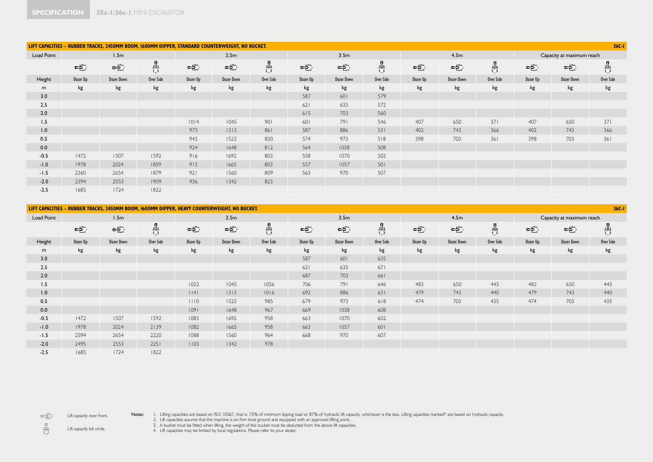|            |          | LIFT CAPACITIES - RUBBER TRACKS, 2450MM BOOM, 1600MM DIPPER, STANDARD COUNTERWEIGHT, NO BUCKET. |           |          |               |           |          |                  |           |          |            |                        |          |                           | $36C - 1$ |
|------------|----------|-------------------------------------------------------------------------------------------------|-----------|----------|---------------|-----------|----------|------------------|-----------|----------|------------|------------------------|----------|---------------------------|-----------|
| Load Point |          | 1.5 <sub>m</sub>                                                                                |           | 2.5m     |               |           |          | 3.5 <sub>m</sub> |           |          | 4.5m       |                        |          | Capacity at maximum reach |           |
|            | 电        | 中                                                                                               | 巷         | 电        | $\Rightarrow$ | 쁑         |          | 中                | 吿         | 中        | 电          | $\frac{\hbar}{\sigma}$ | 中        | 中                         | 쁑         |
| Height     | Dozer Up | Dozer Down                                                                                      | Over Side | Dozer Up | Dozer Down    | Over Side | Dozer Up | Dozer Down       | Over Side | Dozer Up | Dozer Down | Over Side              | Dozer Up | <b>Dozer Down</b>         | Over Side |
| m          | kg       | kg                                                                                              | kg        | kg       | kg            | kg        | kg       | kg               | kg        | kg       | kg         | kg                     | kg       | kg                        | kg        |
| 3.0        |          |                                                                                                 |           |          |               |           | 587      | 601              | 579       |          |            |                        |          |                           |           |
| 2.5        |          |                                                                                                 |           |          |               |           | 621      | 635              | 572       |          |            |                        |          |                           |           |
| 2.0        |          |                                                                                                 |           |          |               |           | 615      | 703              | 560       |          |            |                        |          |                           |           |
| 1.5        |          |                                                                                                 |           | 1014     | 1045          | 901       | 601      | 791              | 546       | 407      | 650        | 371                    | 407      | 650                       | 371       |
| 1.0        |          |                                                                                                 |           | 973      | $1313$        | 861       | 587      | 886              | 531       | 402      | 743        | 366                    | 402      | 743                       | 366       |
| 0.5        |          |                                                                                                 |           | 943      | 1523          | 830       | 574      | 973              | 518       | 398      | 703        | 361                    | 398      | 703                       | 361       |
| 0.0        |          |                                                                                                 |           | 924      | 1648          | 812       | 564      | 1038             | 508       |          |            |                        |          |                           |           |
| $-0.5$     | 1472     | 1507                                                                                            | 1592      | 916      | 1692          | 803       | 558      | 1070             | 502       |          |            |                        |          |                           |           |
| $-1.0$     | 1978     | 2024                                                                                            | 1859      | 915      | 1665          | 803       | 557      | 1057             | 501       |          |            |                        |          |                           |           |
| $-1.5$     | 2360     | 2654                                                                                            | 1879      | 921      | 1560          | 809       | 563      | 970              | 507       |          |            |                        |          |                           |           |
| $-2.0$     | 2394     | 2553                                                                                            | 1909      | 936      | 1342          | 823       |          |                  |           |          |            |                        |          |                           |           |
| $-2.5$     | 1685     | 1724                                                                                            | 1822      |          |               |           |          |                  |           |          |            |                        |          |                           |           |

|            | $36C - 1$<br>LIFT CAPACITIES - RUBBER TRACKS, 2450MM BOOM, 1600MM DIPPER, HEAVY COUNTERWEIGHT, NO BUCKET. |                   |           |          |                   |           |                  |                   |           |          |                   |           |                           |                   |           |
|------------|-----------------------------------------------------------------------------------------------------------|-------------------|-----------|----------|-------------------|-----------|------------------|-------------------|-----------|----------|-------------------|-----------|---------------------------|-------------------|-----------|
| Load Point | 1.5m                                                                                                      |                   |           | 2.5m     |                   |           | 3.5 <sub>m</sub> |                   |           | 4.5m     |                   |           | Capacity at maximum reach |                   |           |
|            | 电                                                                                                         | 电                 | 齿         | 中        | 电                 | 齿         | 中                | 中                 | ╬         | 中        | $\Rightarrow$     | 쁑         | 中                         | 中                 | 吿         |
| Height     | Dozer Up                                                                                                  | <b>Dozer Down</b> | Over Side | Dozer Up | <b>Dozer Down</b> | Over Side | Dozer Up         | <b>Dozer Down</b> | Over Side | Dozer Up | <b>Dozer Down</b> | Over Side | Dozer Up                  | <b>Dozer Down</b> | Over Side |
| m          | kg                                                                                                        | kg                | kg        | kg       | kg                | kg        | kg               | kg                | kg        | kg       | kg                | kg        | kg                        | kg                | kg        |
| 3.0        |                                                                                                           |                   |           |          |                   |           | 587              | 601               | 635       |          |                   |           |                           |                   |           |
| 2.5        |                                                                                                           |                   |           |          |                   |           | 621              | 635               | 671       |          |                   |           |                           |                   |           |
| 2.0        |                                                                                                           |                   |           |          |                   |           | 687              | 703               | 661       |          |                   |           |                           |                   |           |
| 1.5        |                                                                                                           |                   |           | 1022     | 1045              | 1056      | 706              | 791               | 646       | 483      | 650               | 445       | 483                       | 650               | 445       |
| 1.0        |                                                                                                           |                   |           | $ $   4  | 1313              | 1016      | 692              | 886               | 631       | 479      | 743               | 440       | 479                       | 743               | 440       |
| 0.5        |                                                                                                           |                   |           | 1110     | 1523              | 985       | 679              | 973               | 618       | 474      | 703               | 435       | 474                       | 703               | 435       |
| 0.0        |                                                                                                           |                   |           | 09       | 1648              | 967       | 669              | 1038              | 608       |          |                   |           |                           |                   |           |
| $-0.5$     | 1472                                                                                                      | 1507              | 1592      | 1083     | 1692              | 958       | 663              | 1070              | 602       |          |                   |           |                           |                   |           |
| $-1.0$     | 1978                                                                                                      | 2024              | 2139      | 1082     | 1665              | 958       | 663              | 1057              | 601       |          |                   |           |                           |                   |           |
| $-1.5$     | 2594                                                                                                      | 2654              | 2220      | 1088     | 1560              | 964       | 668              | 970               | 607       |          |                   |           |                           |                   |           |
| $-2.0$     | 2495                                                                                                      | 2553              | 2251      | 1103     | 1342              | 978       |                  |                   |           |          |                   |           |                           |                   |           |
| $-2.5$     | 1685                                                                                                      | 1724              | 1822      |          |                   |           |                  |                   |           |          |                   |           |                           |                   |           |

Lift capacity over front.

 $\Rightarrow$ 

Notes: I. Lifting capacities are based on ISO 10567, that is: 75% of minimum tipping load or 87% of hydraulic lift capacity, whichever is the less. Lifting capacities marked\* are based on hydraulic capacity.<br>2. Lift capaci

 $\frac{1}{\sqrt{2}}$ Lift capacity full circle.

3. A bucket must be fitted when lifting, the weight of this bucket must be deducted from the above lift capacities. 4. Lift capacities may be limited by local regulations. Please refer to your dealer.